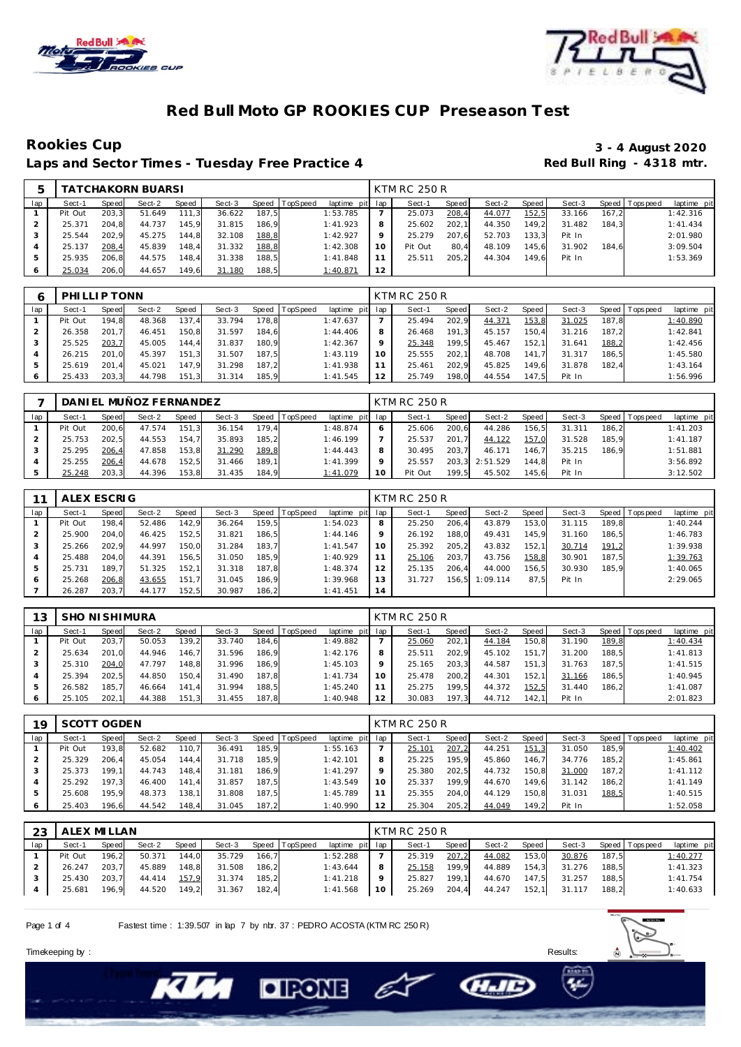



**Rookies Cup 3 - 4 August 2020** Laps and Sector Times - Tuesday Free Practice 4

|     |         |       | TATCHAKORN BUARSI |       |        |       |          |             |     | KTM RC 250 R |       |        |       |        |         |             |             |
|-----|---------|-------|-------------------|-------|--------|-------|----------|-------------|-----|--------------|-------|--------|-------|--------|---------|-------------|-------------|
| lap | Sect-1  | Speed | Sect-2            | Speed | Sect-3 | Speed | TopSpeed | laptime pit | lap | Sect-1       | Speed | Sect-2 | Speed | Sect-3 | Speed I | T ops pee d | laptime pit |
|     | Pit Out | 203.3 | 51.649            | 111.3 | 36.622 | 187.5 |          | 1:53.785    |     | 25.073       | 208,4 | 44.077 | 152,5 | 33.166 | 167.2   |             | 1:42.316    |
|     | 25.371  | 204.8 | 44.737            | 145,9 | 31.815 | 186.9 |          | 1:41.923    | 8   | 25.602       | 202.1 | 44.350 | 149.2 | 31.482 | 184.3   |             | 1: 41.434   |
|     | 25.544  | 202.9 | 45.275            | 144,8 | 32.108 | 188,8 |          | 1:42.927    | Q   | 25.279       | 207.6 | 52.703 | 133.3 | Pit In |         |             | 2:01.980    |
|     | 25.137  | 208,4 | 45.839            | 148,4 | 31.332 | 188,8 |          | 1:42.308    | 10  | Pit Out      | 80.4  | 48.109 | 145.6 | 31.902 | 184.6   |             | 3:09.504    |
|     | 25.935  | 206.8 | 44.575            | 148,4 | 31.338 | 188.5 |          | 1:41.848    |     | 25.511       | 205.2 | 44.304 | 149.6 | Pit In |         |             | 1:53.369    |
|     | 25.034  | 206.0 | 44.657            | 149.6 | 31.180 | 188.5 |          | 1:40.871    | 12  |              |       |        |       |        |         |             |             |

|         | PHILLIP TONN |       |        |       |        |       |                |                 |                 | KTM RC 250 R |              |        |       |        |       |                |             |
|---------|--------------|-------|--------|-------|--------|-------|----------------|-----------------|-----------------|--------------|--------------|--------|-------|--------|-------|----------------|-------------|
| lap     | Sect-1       | Speed | Sect-2 | Speed | Sect-3 |       | Speed TopSpeed | laptime pit lap |                 | Sect-1       | <b>Speed</b> | Sect-2 | Speed | Sect-3 |       | Speed Topspeed | laptime pit |
|         | Pit Out      | 194.8 | 48.368 | 137,4 | 33.794 | '78.8 |                | 1:47.637        |                 | 25.494       | 202,9        | 44.371 | 153,8 | 31.025 | 187.8 |                | 1:40.890    |
|         | 26.358       | 201.7 | 46.451 | 150,8 | 31.597 | 184.6 |                | 1:44.406        | 8               | 26.468       | 191.3        | 45.157 | 150.4 | 31.216 | 187.2 |                | 1:42.841    |
|         | 25.525       | 203,7 | 45.005 | 144.4 | 31.837 | 180.9 |                | 1:42.367        | 9               | 25.348       | 199,5        | 45.467 | 152.1 | 31.641 | 188,2 |                | 1:42.456    |
|         | 26.215       | 201.0 | 45.397 | 151.3 | 31.507 | 187.5 |                | 1:43.119        | 10 <sup>°</sup> | 25.555       | 202.1        | 48.708 | 141.7 | 31.317 | 186.5 |                | 1:45.580    |
|         | 25.619       | 201.4 | 45.021 | 147.9 | 31.298 | 187.2 |                | 1:41.938        |                 | 25.461       | 202.9        | 45.825 | 149.6 | 31.878 | 182.4 |                | 1:43.164    |
| $\circ$ | 25.433       | 203.3 | 44.798 | 151,3 | 31.314 | 185,9 |                | 1:41.545        | 12              | 25.749       | 198.0        | 44.554 | 147.5 | Pit In |       |                | 1:56.996    |

|     |         |       | DANI EL MUÑOZ FERNANDEZ |       |        |       |          |             |     | KTM RC 250 R |              |          |       |        |         |             |             |
|-----|---------|-------|-------------------------|-------|--------|-------|----------|-------------|-----|--------------|--------------|----------|-------|--------|---------|-------------|-------------|
| lap | Sect-1  | Speed | Sect-2                  | Speed | Sect-3 | Speed | TopSpeed | laptime pit | lap | Sect-1       | <b>Speed</b> | Sect-2   | Speed | Sect-3 | Speed I | T ops pee d | laptime pit |
|     | Pit Out | 200.6 | 47.574                  | 151.3 | 36.154 | 179.4 |          | 1:48.874    | O   | 25.606       | 200.6        | 44.286   | 156.5 | 31.311 | 186,2   |             | 1:41.203    |
|     | 25.753  | 202.5 | 44.553                  | 154.7 | 35.893 | 185.2 |          | 1:46.199    |     | 25.537       | 201.7        | 44.122   | 157.0 | 31.528 | 185.9   |             | 1:41.187    |
|     | 25.295  | 206.4 | 47.858                  | 153.8 | 31.290 | 189,8 |          | 1:44.443    | 8   | 30.495       | 203.7        | 46.171   | 146.7 | 35.215 | 186.9   |             | 1:51.881    |
|     | 25.255  | 206,4 | 44.678                  | 152,5 | 31.466 | 189.1 |          | 1:41.399    | o   | 25.557       | 203.3        | 2:51.529 | 144.8 | Pit In |         |             | 3:56.892    |
|     | 25.248  | 203.3 | 44.396                  | 153,8 | 31.435 | 184.9 |          | 1:41.079    | 10  | Pit Out      | 199.5        | 45.502   | 145.6 | Pit In |         |             | 3:12.502    |

|     | ALEX ESCRIG |       |        |       |        |       |          |             |                | <b>KTM RC 250 R</b> |       |          |       |        |       |                |             |
|-----|-------------|-------|--------|-------|--------|-------|----------|-------------|----------------|---------------------|-------|----------|-------|--------|-------|----------------|-------------|
| lap | Sect-1      | Speed | Sect-2 | Speed | Sect-3 | Speed | TopSpeed | laptime pit | lap            | Sect-1              | Speed | Sect-2   | Speed | Sect-3 |       | Speed Topspeed | laptime pit |
|     | Pit Out     | 198.4 | 52.486 | 142.9 | 36.264 | 159,5 |          | 1:54.023    | 8              | 25.250              | 206.4 | 43.879   | 153,0 | 31.115 | 189.8 |                | 1:40.244    |
|     | 25.900      | 204.0 | 46.425 | 152,5 | 31.821 | 186,5 |          | 1:44.146    |                | 26.192              | 188.0 | 49.431   | 145.9 | 31.160 | 186.5 |                | 1:46.783    |
|     | 25.266      | 202.9 | 44.997 | 150,0 | 31.284 | 183.7 |          | 1: 41.547   |                | 25.392              | 205.2 | 43.832   | 152,1 | 30.714 | 191,2 |                | 1:39.938    |
|     | 25.488      | 204.0 | 44.391 | 156,5 | 31.050 | 185.9 |          | 1:40.929    |                | 25.106              | 203.7 | 43.756   | 158,8 | 30.901 | 187.5 |                | 1:39.763    |
| 5   | 25.731      | 189.7 | 51.325 | 152.1 | 31.318 | 187.8 |          | 1:48.374    | $\overline{2}$ | 25.135              | 206.4 | 44.000   | 156,5 | 30.930 | 185.9 |                | 1:40.065    |
| 6   | 25.268      | 206,8 | 43.655 | 151.7 | 31.045 | 186.9 |          | 1:39.968    | 3              | 31.727              | 156.5 | 1:09.114 | 87.5  | Pit In |       |                | 2:29.065    |
|     | 26.287      | 203.7 | 44.177 | 152,5 | 30.987 | 186,2 |          | 1: 41.451   | 14             |                     |       |          |       |        |       |                |             |

| 13  | SHO NI SHIMURA |       |        |       |        |       |                |                 |    | <b>KTM RC 250 R</b> |       |        |         |        |       |                |             |
|-----|----------------|-------|--------|-------|--------|-------|----------------|-----------------|----|---------------------|-------|--------|---------|--------|-------|----------------|-------------|
| lap | Sect-1         | Speed | Sect-2 | Speed | Sect-3 |       | Speed TopSpeed | laptime pit lap |    | Sect-1              | Speed | Sect-2 | Speed I | Sect-3 |       | Speed Topspeed | laptime pit |
|     | Pit Out        | 203.7 | 50.053 | 139.2 | 33.740 | 184.6 |                | 1:49.882        |    | 25.060              | 202.1 | 44.184 | 150,8   | 31.190 | 189,8 |                | 1:40.434    |
|     | 25.634         | 201.0 | 44.946 | 146.7 | 31.596 | 186.9 |                | 1:42.176        |    | 25.511              | 202.9 | 45.102 | 151.7   | 31.200 | 188.5 |                | 1:41.813    |
|     | 25.310         | 204.0 | 47.797 | 148.8 | 31.996 | 186.9 |                | 1:45.103        |    | 25.165              | 203.3 | 44.587 | 151.3   | 31.763 | 187.5 |                | 1:41.515    |
|     | 25.394         | 202.5 | 44.850 | 150.4 | 31.490 | 187.8 |                | 1:41.734        | 10 | 25.478              | 200.2 | 44.301 | 152.1   | 31.166 | 186.5 |                | 1:40.945    |
|     | 26.582         | 185.7 | 46.664 | 141.4 | 31.994 | 188.5 |                | 1:45.240        |    | 25.275              | 199.5 | 44.372 | 152,5   | 31.440 | 186.2 |                | 1:41.087    |
|     | 25.105         | 202.1 | 44.388 | 151,3 | 31.455 | 187.8 |                | 1:40.948        |    | 30.083              | 197.3 | 44.712 | 142.1   | Pit In |       |                | 2:01.823    |

| 19  | SCOTT OGDEN |       |        |       |        |       |          |                 |         | KTM RC 250 R |       |        |       |        |       |                 |             |
|-----|-------------|-------|--------|-------|--------|-------|----------|-----------------|---------|--------------|-------|--------|-------|--------|-------|-----------------|-------------|
| lap | Sect-1      | Speed | Sect-2 | Speed | Sect-3 | Speed | TopSpeed | laptime pit lap |         | Sect-1       | Speed | Sect-2 | Speed | Sect-3 |       | Speed Tops peed | laptime pit |
|     | Pit Out     | 193.8 | 52.682 | 110.7 | 36.491 | 185,9 |          | 1:55.163        |         | 25.101       | 207,2 | 44.251 | 151,3 | 31.050 | 185.9 |                 | 1:40.402    |
|     | 25.329      | 206.4 | 45.054 | 144.4 | 31.718 | 185.9 |          | 1:42.101        | 8       | 25.225       | 195.9 | 45.860 | 146.7 | 34.776 | 185.2 |                 | 1:45.861    |
|     | 25.373      | 199.1 | 44.743 | 148,4 | 31.181 | 186.9 |          | 1:41.297        | $\circ$ | 25.380       | 202.5 | 44.732 | 150,8 | 31.000 | 187,2 |                 | 1:41.112    |
|     | 25.292      | 197.3 | 46.400 | 141,4 | 31.857 | 187.5 |          | 1:43.549        | 10      | 25.337       | 199.9 | 44.670 | 149.6 | 31.142 | 186.2 |                 | 1:41.149    |
| 5   | 25.608      | 195.9 | 48.373 | 138,1 | 31.808 | 187.5 |          | 1:45.789        |         | 25.355       | 204.0 | 44.129 | 150.8 | 31.031 | 188,5 |                 | 1:40.515    |
| 6   | 25.403      | 196,6 | 44.542 | 148.4 | 31.045 | 187.2 |          | 1:40.990        | 12      | 25.304       | 205.2 | 44.049 | 149,2 | Pit In |       |                 | 1:52.058    |

| 23  | ALEX MILLAN |       |        |       |        |       |          |                 |                 | <b>KTM RC 250 R</b> |       |        |       |        |       |                |             |
|-----|-------------|-------|--------|-------|--------|-------|----------|-----------------|-----------------|---------------------|-------|--------|-------|--------|-------|----------------|-------------|
| lap | Sect-1      | Speed | Sect-2 | Speed | Sect-3 | Speed | TopSpeed | laptime pit lap |                 | Sect-1              | Speed | Sect-2 | Speed | Sect-3 |       | Speed Topspeed | laptime pit |
|     | Pit Out     | 196.2 | 50.371 | 144.0 | 35.729 | 166.7 |          | 1:52.288        |                 | 25.319              | 207.2 | 44.082 | 153.0 | 30.876 | 187.5 |                | 1:40.277    |
|     | 26.247      | 203.7 | 45.889 | 148,8 | 31.508 | 186.2 |          | 1:43.644        |                 | 25.158              | 199.9 | 44.889 | 154.3 | 31.276 | 188.5 |                | 1:41.323    |
|     | 25.430      | 203.7 | 44.414 | 157,9 | 31.374 | 185.2 |          | 1:41.218        |                 | 25.827              | 199.1 | 44.670 | 147.5 | 31.257 | 188.5 |                | 1:41.754    |
|     | 25.681      | 196,9 | 44.520 | 149,2 | 31.367 | 182.4 |          | 1:41.568        | 10 <sup>°</sup> | 25.269              | 204,4 | 44.247 | 152.1 | 31.117 | 188.2 |                | 1:40.633    |

E

**CHAID** 

Page 1 of 4 Fastest time : 1:39.507 in lap 7 by nbr. 37 : PEDRO ACOSTA (KTM RC 250 R)

**DIRONE** 



Timekeeping by : Results: Results: Results: Results: Results: Results: Results: Results: Results: Results: Results: Results: Results: Results: Results: Results: Results: Results: Results: Results: Results: Results: Results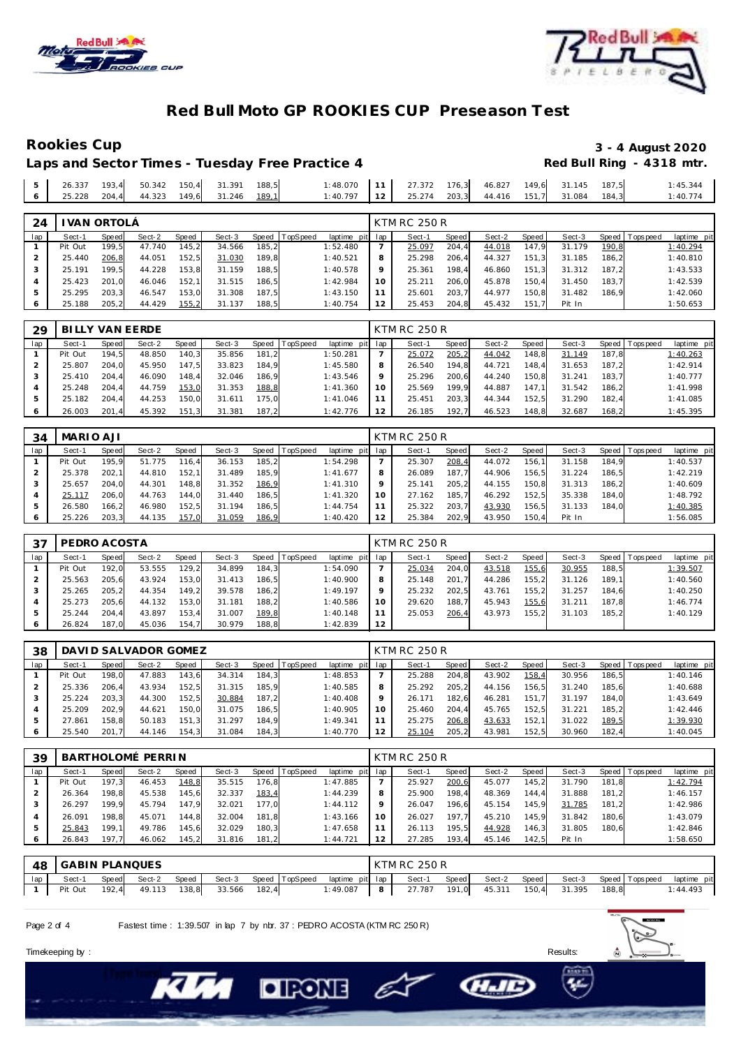



# Laps and Sector Times - Tuesday Free Practice 4

# **Rookies Cup 3 - 4 August 2020**

| 26.337              | 193.4 | 50.342 |       | 150,4 31.391 | 188.5 | 1:48.070 |                 | 27.372 | 176.3  | 46.827 | 149.6 31.145        | 187.5 | : 45.344 |
|---------------------|-------|--------|-------|--------------|-------|----------|-----------------|--------|--------|--------|---------------------|-------|----------|
| 25.228 204.4 44.323 |       |        | 149.6 | 31.246 189.1 |       | 1:40.797 | 12 <sub>1</sub> | 25.274 | 203, 3 |        | 44.416 151,7 31.084 | 184.3 | 1:40.774 |

| 24  |         | VAN ORTOLÁ |        |       |        |       |          |                 |         | KTM RC 250 R |       |        |       |        |       |                 |             |
|-----|---------|------------|--------|-------|--------|-------|----------|-----------------|---------|--------------|-------|--------|-------|--------|-------|-----------------|-------------|
| lap | Sect-1  | Speed      | Sect-2 | Speed | Sect-3 | Speed | TopSpeed | laptime pit lap |         | Sect-1       | Speed | Sect-2 | Speed | Sect-3 |       | Speed Tops peed | laptime pit |
|     | Pit Out | 199.5      | 47.740 | 145,2 | 34.566 | 185,2 |          | 1:52.480        |         | 25.097       | 204.4 | 44.018 | 147.9 | 31.179 | 190,8 |                 | 1:40.294    |
|     | 25.440  | 206,8      | 44.051 | 152.5 | 31.030 | 189.8 |          | 1:40.521        |         | 25.298       | 206.4 | 44.327 | 151.3 | 31.185 | 186.2 |                 | 1:40.810    |
|     | 25.191  | 199.5      | 44.228 | 153.8 | 31.159 | 188.5 |          | 1:40.578        | $\circ$ | 25.361       | 198.4 | 46.860 | 151.3 | 31.312 | 187.2 |                 | 1:43.533    |
|     | 25.423  | 201.0      | 46.046 | 152.1 | 31.515 | 186.5 |          | 1:42.984        |         | 25.211       | 206.0 | 45.878 | 150.4 | 31.450 | 183.7 |                 | 1:42.539    |
|     | 25.295  | 203.3      | 46.547 | 153,0 | 31.308 | 187,5 |          | 1:43.150        |         | 25.601       | 203.7 | 44.977 | 150.8 | 31.482 | 186.9 |                 | 1:42.060    |
|     | 25.188  | 205,2      | 44.429 | 155,2 | 31.137 | 188,5 |          | 1:40.754        |         | 25.453       | 204.8 | 45.432 | 151.7 | Pit In |       |                 | 1:50.653    |

| 29  |         |       | BILLY VAN EERDE |       |        |       |          |                 | KTM RC 250 R |       |        |       |        |       |                   |             |
|-----|---------|-------|-----------------|-------|--------|-------|----------|-----------------|--------------|-------|--------|-------|--------|-------|-------------------|-------------|
| lap | Sect-1  | Speed | Sect-2          | Speed | Sect-3 | Speed | TopSpeed | laptime pit lap | Sect-1       | Speed | Sect-2 | Speed | Sect-3 |       | Speed   Tops peed | laptime pit |
|     | Pit Out | 194.5 | 48.850          | 140,3 | 35.856 | 181,2 |          | 1:50.281        | 25.072       | 205,2 | 44.042 | 148,8 | 31.149 | 187.8 |                   | 1:40.263    |
|     | 25.807  | 204.0 | 45.950          | 147.5 | 33.823 | 184.9 |          | 1:45.580        | 26.540       | 194.8 | 44.721 | 148.4 | 31.653 | 187.2 |                   | 1:42.914    |
|     | 25.410  | 204.4 | 46.090          | 148.4 | 32.046 | 186.9 |          | 1:43.546        | 25.296       | 200.6 | 44.240 | 150.8 | 31.241 | 183.7 |                   | 1:40.777    |
|     | 25.248  | 204.4 | 44.759          | 153,0 | 31.353 | 188,8 |          | 1:41.360        | 25.569       | 199.9 | 44.887 | 147.1 | 31.542 | 186.2 |                   | 1:41.998    |
|     | 25.182  | 204.4 | 44.253          | 150,0 | 31.611 | 175.0 |          | 1:41.046        | 25.451       | 203.3 | 44.344 | 152,5 | 31.290 | 182.4 |                   | 1:41.085    |
|     | 26.003  | 201.4 | 45.392          | 151,3 | 31.381 | 187,2 |          | 1:42.776        | 26.185       | 192.7 | 46.523 | 148.8 | 32.687 | 168,2 |                   | 1:45.395    |

| 34  | MARIO AJI |       |        |       |        |       |          |                 |    | <b>KTM RC 250 R</b> |       |        |         |        |       |                 |             |
|-----|-----------|-------|--------|-------|--------|-------|----------|-----------------|----|---------------------|-------|--------|---------|--------|-------|-----------------|-------------|
| lap | Sect-1    | Speed | Sect-2 | Speed | Sect-3 | Speed | TopSpeed | laptime pit lap |    | Sect-1              | Speed | Sect-2 | Speed I | Sect-3 |       | Speed Tops peed | laptime pit |
|     | Pit Out   | 195.9 | 51.775 | 116,4 | 36.153 | 185.2 |          | 1:54.298        |    | 25.307              | 208.4 | 44.072 | 156,1   | 31.158 | 184.9 |                 | 1:40.537    |
|     | 25.378    | 202.1 | 44.810 | 152.1 | 31.489 | 185.9 |          | 1:41.677        |    | 26.089              | 187.7 | 44.906 | 156.5   | 31.224 | 186.5 |                 | 1:42.219    |
|     | 25.657    | 204.0 | 44.301 | 148.8 | 31.352 | 186,9 |          | 1:41.310        |    | 25.141              | 205.2 | 44.155 | 150.8   | 31.313 | 186.2 |                 | 1:40.609    |
|     | 25.117    | 206.0 | 44.763 | 144.0 | 31.440 | 186.5 |          | 1:41.320        | 10 | 27.162              | 185.7 | 46.292 | 152.5   | 35.338 | 184.0 |                 | 1:48.792    |
|     | 26.580    | 166.2 | 46.980 | 152,5 | 31.194 | 186.5 |          | 1:44.754        |    | 25.322              | 203.7 | 43.930 | 156,5   | 31.133 | 184.0 |                 | 1:40.385    |
|     | 25.226    | 203,3 | 44.135 | 157,0 | 31.059 | 186,9 |          | 1:40.420        |    | 25.384              | 202,9 | 43.950 | 150,4   | Pit In |       |                 | 1:56.085    |

| 37  | PEDRO ACOSTA |       |        |       |        |       |         |             |     | KTM RC 250 R |       |        |       |        |       |            |             |
|-----|--------------|-------|--------|-------|--------|-------|---------|-------------|-----|--------------|-------|--------|-------|--------|-------|------------|-------------|
| lap | Sect-1       | Speed | Sect-2 | Speed | Sect-3 | Speed | opSpeed | laptime pit | lap | Sect-1       | Speed | Sect-2 | Speed | Sect-3 | Speed | T ops peed | laptime pit |
|     | Pit Out      | 192.0 | 53.555 | 129,2 | 34.899 | 184.3 |         | 1:54.090    |     | 25.034       | 204.0 | 43.518 | 155,6 | 30.955 | 188.5 |            | 1:39.507    |
|     | 25.563       | 205.6 | 43.924 | 153.0 | 31.413 | 186.5 |         | 1:40.900    | 8   | 25.148       | 201.7 | 44.286 | 155.2 | 31.126 | 189.1 |            | 1:40.560    |
|     | 25.265       | 205.2 | 44.354 | 149,2 | 39.578 | 186,2 |         | 1:49.197    |     | 25.232       | 202.5 | 43.761 | 155.2 | 31.257 | 184.6 |            | 1:40.250    |
|     | 25.273       | 205.6 | 44.132 | 153,0 | 31.181 | 188.2 |         | 1:40.586    |     | 29.620       | 188.7 | 45.943 | 155,6 | 31.211 | 187.8 |            | 1:46.774    |
| ь   | 25.244       | 204.4 | 43.897 | 153,4 | 31.007 | 189,8 |         | 1:40.148    |     | 25.053       | 206,4 | 43.973 | 155.2 | 31.103 | 185.2 |            | 1:40.129    |
|     | 26.824       | 187.0 | 45.036 | 154.7 | 30.979 | 188,8 |         | 1:42.839    | 12  |              |       |        |       |        |       |            |             |

| 38  |         |       | DAVID SALVADOR GOMEZ |       |        |       |                  |                 |     | KTM RC 250 R |       |        |       |        |       |                |             |
|-----|---------|-------|----------------------|-------|--------|-------|------------------|-----------------|-----|--------------|-------|--------|-------|--------|-------|----------------|-------------|
| lap | Sect-1  | Speed | Sect-2               | Speed | Sect-3 |       | Speed   TopSpeed | laptime pit lap |     | Sect-1       | Speed | Sect-2 | Speed | Sect-3 |       | Speed Topspeed | laptime pit |
|     | Pit Out | 198.0 | 47.883               | 143,6 | 34.314 | 184.3 |                  | 1:48.853        |     | 25.288       | 204.8 | 43.902 | 158,4 | 30.956 | 186.5 |                | 1:40.146    |
|     | 25.336  | 206.4 | 43.934               | 152.5 | 31.315 | 185.9 |                  | 1:40.585        |     | 25.292       | 205.2 | 44.156 | 156.5 | 31.240 | 185.6 |                | 1:40.688    |
|     | 25.224  | 203.3 | 44.300               | 152.5 | 30.884 | 187,2 |                  | 1:40.408        |     | 26.171       | 182.6 | 46.281 | 151.7 | 31.197 | 184.0 |                | 1:43.649    |
|     | 25.209  | 202.9 | 44.621               | 150.0 | 31.075 | 186.5 |                  | 1:40.905        | 1 ດ | 25.460       | 204.4 | 45.765 | 152.5 | 31.221 | 185.2 |                | 1:42.446    |
|     | 27.861  | 158.8 | 50.183               | 151.3 | 31.297 | 184.9 |                  | 1:49.341        |     | 25.275       | 206,8 | 43.633 | 152.1 | 31.022 | 189,5 |                | 1:39.930    |
|     | 25.540  | 201.7 | 44.146               | 154.3 | 31.084 | 184,3 |                  | 1:40.770        |     | 25.104       | 205,2 | 43.981 | 152.5 | 30.960 | 182,4 |                | 1:40.045    |

| 39  |         |       | BARTHOLOMÉ PERRIN |       |        |           |                 |                 |         | KTM RC 250 R |       |        |       |        |       |                 |             |
|-----|---------|-------|-------------------|-------|--------|-----------|-----------------|-----------------|---------|--------------|-------|--------|-------|--------|-------|-----------------|-------------|
| lap | Sect-1  | Speed | Sect-2            | Speed | Sect-3 | Speed   T | <b>TopSpeed</b> | laptime pit lap |         | Sect-1       | Speed | Sect-2 | Speed | Sect-3 |       | Speed Tops peed | laptime pit |
|     | Pit Out | 197.3 | 46.453            | 148,8 | 35.515 | 176,8     |                 | 1:47.885        |         | 25.927       | 200,6 | 45.077 | 145.2 | 31.790 | 181.8 |                 | 1:42.794    |
|     | 26.364  | 198.8 | 45.538            | 145,6 | 32.337 | 183,4     |                 | 1:44.239        | 8       | 25.900       | 198.4 | 48.369 | 144.4 | 31.888 | 181.2 |                 | 1:46.157    |
|     | 26.297  | 199.9 | 45.794            | 147.9 | 32.021 | 177.0     |                 | 1:44.112        | $\circ$ | 26.047       | 196.6 | 45.154 | 145.9 | 31.785 | 181.2 |                 | 1:42.986    |
|     | 26.091  | 198.8 | 45.071            | 144.8 | 32.004 | 181.8     |                 | 1:43.166        | 10      | 26.027       | 197.7 | 45.210 | 145.9 | 31.842 | 180.6 |                 | 1:43.079    |
| ь   | 25.843  | 199.1 | 49.786            | 145,6 | 32.029 | 180,3     |                 | 1:47.658        |         | 26.113       | 195.5 | 44.928 | 146,3 | 31.805 | 180.6 |                 | 1:42.846    |
| 6   | 26.843  | 197.7 | 46.062            | 145,2 | 31.816 | 181,2     |                 | 1:44.721        |         | 27.285       | 193,4 | 45.146 | 142,5 | Pit In |       |                 | 1:58.650    |

|     | 48 GABIN PLANQUES |       |              |       |        |       |                                       | <b>KTM RC 250 R</b>              |       |  |                                    |       |             |
|-----|-------------------|-------|--------------|-------|--------|-------|---------------------------------------|----------------------------------|-------|--|------------------------------------|-------|-------------|
| lap | Sect-1            | Speed | Sect-2       | Speed |        |       | Sect-3 Speed TopSpeed laptime pit lap | Sect-1                           | Speed |  | Sect-2 Speed Sect-3 Speed Topspeed |       | laptime pit |
|     | Pit Out           |       | 192,4 49.113 | 138,8 | 33.566 | 182.4 | $1:49.087$   8                        | 27.787 191,0 45.311 150,4 31.395 |       |  |                                    | 188.8 | 1:44.493    |

E

Page 2 of 4 Fastest time : 1:39.507 in lap 7 by nbr. 37 : PEDRO ACOSTA (KTM RC 250 R)

**DIRONE** 

Timekeeping by : Results: Results: Results: Results: Results: Results: Results: Results: Results: Results: Results: Results: Results: Results: Results: Results: Results: Results: Results: Results: Results: Results: Results



**CHAID**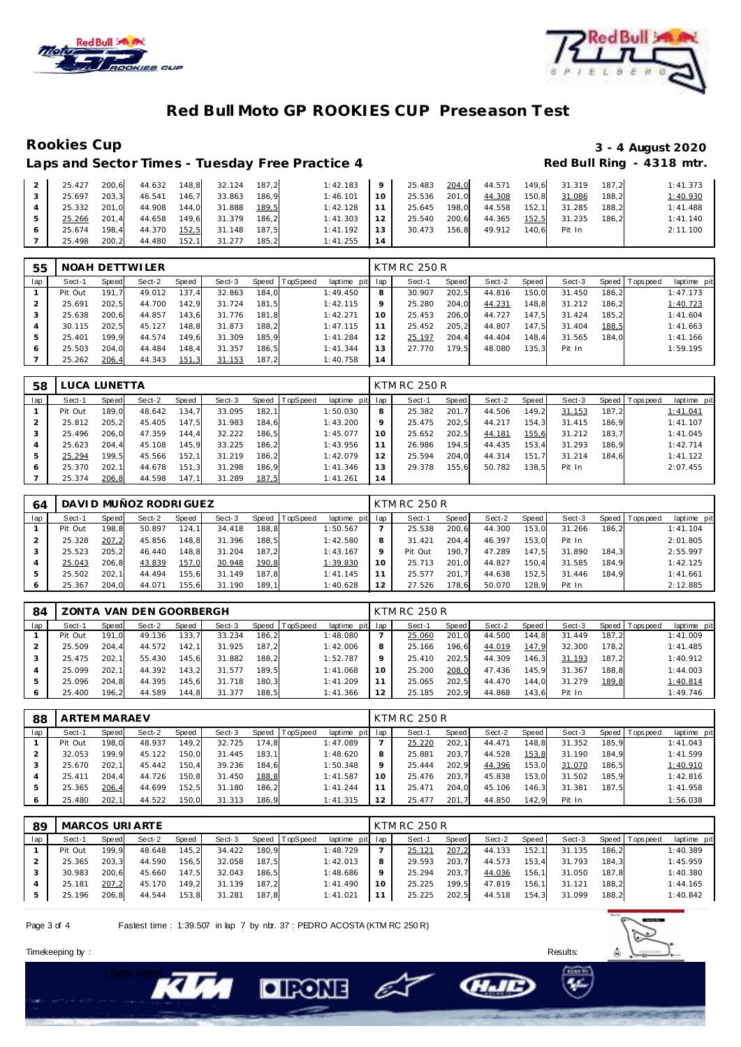



### **Rookies Cup 3 - 4 August 2020** Laps and Sector Times - Tuesday Free Practice 4

| $\overline{2}$ |              |       |        |       | 25.427 200.6 44.632 148.8 32.124 187.2 |       | $1:42.183$ 9  |                 | 25.483 204,0 44.571 |       |        |       | 149,6 31.319 187,2 |       | 1:41.373 |
|----------------|--------------|-------|--------|-------|----------------------------------------|-------|---------------|-----------------|---------------------|-------|--------|-------|--------------------|-------|----------|
|                | 25.697       | 203.3 | 46.541 | 146.7 | 33.863                                 | 186.9 | 1:46.101      | 10 l            | 25.536              | 201.0 | 44.308 | 150,8 | 31.086             | 188.2 | 1:40.930 |
|                | 25.332 201.0 |       | 44.908 | 144.0 | 31.888                                 | 189,5 | $1:42.128$ 11 |                 | 25.645 198.0        |       | 44.558 | 152.1 | 31.285             | 188.2 | 1:41.488 |
|                | 25.266       | 201.4 | 44.658 | 149.6 | 31.379                                 | 186.2 | 1: 41.303     | 12 <sub>1</sub> | 25.540              | 200.6 | 44.365 | 152,5 | 31.235             | 186.2 | 1:41.140 |
|                | 25.674       | 198.4 | 44.370 | 152,5 | 31.148                                 | 187.5 | 1:41.192      | 13 <sup>1</sup> | 30.473              | 156.8 | 49.912 | 140.6 | Pit In             |       | 2:11.100 |
|                | 25.498       | 200,2 | 44.480 | 152,1 | 31.277                                 | 185.2 | 1:41.255      | 14              |                     |       |        |       |                    |       |          |

| 55  |         |       | NOAH DETTWILER |       |        |           |                 |                 |    | <b>KTM RC 250 R</b> |       |        |       |        |       |                |             |
|-----|---------|-------|----------------|-------|--------|-----------|-----------------|-----------------|----|---------------------|-------|--------|-------|--------|-------|----------------|-------------|
| lap | Sect-1  | Speed | Sect-2         | Speed | Sect-3 | Speed   T | <b>TopSpeed</b> | laptime pit lap |    | Sect-1              | Speed | Sect-2 | Speed | Sect-3 |       | Speed Topspeed | laptime pit |
|     | Pit Out | 191.7 | 49.012         | 137.4 | 32.863 | 184.0     |                 | 1:49.450        | 8  | 30.907              | 202.5 | 44.816 | 150,0 | 31.450 | 186.2 |                | 1:47.173    |
|     | 25.691  | 202.5 | 44.700         | 142.9 | 31.724 | 181,5     |                 | 1:42.115        |    | 25.280              | 204.0 | 44.231 | 148,8 | 31.212 | 186.2 |                | 1:40.723    |
|     | 25.638  | 200.6 | 44.857         | 143,6 | 31.776 | 181.8     |                 | 1:42.271        | 10 | 25.453              | 206.0 | 44.727 | 147.5 | 31.424 | 185.2 |                | 1:41.604    |
|     | 30.115  | 202.5 | 45.127         | 148.8 | 31.873 | 188.2     |                 | 1:47.115        |    | 25.452              | 205.2 | 44.807 | 147.5 | 31.404 | 188,5 |                | 1:41.663    |
|     | 25.401  | 199.9 | 44.574         | 149,6 | 31.309 | 185,9     |                 | 1:41.284        |    | 25.197              | 204.4 | 44.404 | 148,4 | 31.565 | 184.0 |                | 1:41.166    |
| 6   | 25.503  | 204.0 | 44.484         | 148.4 | 31.357 | 186.5     |                 | 1: 41.344       | 13 | 27.770              | 179.5 | 48.080 | 135.3 | Pit In |       |                | 1:59.195    |
|     | 25.262  | 206,4 | 44.343         | 151,3 | 31.153 | 187,2     |                 | 1:40.758        | 14 |                     |       |        |       |        |       |                |             |

| 58  |         | LUCA LUNETTA |        |       |        |       |                |                 |    | <b>KTM RC 250 R</b> |       |        |       |        |       |                |             |
|-----|---------|--------------|--------|-------|--------|-------|----------------|-----------------|----|---------------------|-------|--------|-------|--------|-------|----------------|-------------|
| lap | Sect-1  | Speed        | Sect-2 | Speed | Sect-3 |       | Speed TopSpeed | laptime pit lap |    | Sect-1              | Speed | Sect-2 | Speed | Sect-3 |       | Speed Topspeed | laptime pit |
|     | Pit Out | 189.0        | 48.642 | 134.7 | 33.095 | 182.1 |                | 1:50.030        | 8  | 25.382              | 201.7 | 44.506 | 149.2 | 31.153 | 187.2 |                | 1:41.041    |
|     | 25.812  | 205.2        | 45.405 | 147.5 | 31.983 | 184.6 |                | 1:43.200        | 9  | 25.475              | 202.5 | 44.217 | 154.3 | 31.415 | 186.9 |                | 1:41.107    |
|     | 25.496  | 206.0        | 47.359 | 144.4 | 32.222 | 186.5 |                | 1:45.077        | 10 | 25.652              | 202.5 | 44.181 | 155,6 | 31.212 | 183.7 |                | 1:41.045    |
|     | 25.623  | 204.4        | 45.108 | 145.9 | 33.225 | 186.2 |                | 1:43.956        |    | 26.986              | 194.5 | 44.435 | 153.4 | 31.293 | 186.9 |                | 1:42.714    |
|     | 25.294  | 199.5        | 45.566 | 152.1 | 31.219 | 186.2 |                | 1:42.079        | 12 | 25.594              | 204.0 | 44.314 | 151.7 | 31.214 | 184.6 |                | 1:41.122    |
|     | 25.370  | 202.1        | 44.678 | 151,3 | 31.298 | 186,9 |                | 1: 41.346       | 13 | 29.378              | 155.6 | 50.782 | 138.5 | Pit In |       |                | 2:07.455    |
|     | 25.374  | 206,8        | 44.598 | 147.1 | 31.289 | 187,5 |                | 1:41.261        | 14 |                     |       |        |       |        |       |                |             |

| 64  |         |       | DAVI D MUÑOZ RODRI GUEZ |       |        |       |                  |                 |                | <b>KTM RC 250 R</b> |       |        |       |            |       |                |             |
|-----|---------|-------|-------------------------|-------|--------|-------|------------------|-----------------|----------------|---------------------|-------|--------|-------|------------|-------|----------------|-------------|
| lap | Sect-1  | Speed | Sect-2                  | Speed | Sect-3 |       | Speed   TopSpeed | laptime pit lap |                | Sect-1              | Speed | Sect-2 | Speed | Sect-3     |       | Speed Topspeed | laptime pit |
|     | Pit Out | 198.8 | 50.897                  | 124,1 | 34.418 | 188,8 |                  | 1:50.567        |                | 25.538              | 200.6 | 44.300 | 153,0 | 31.266     | 186.2 |                | 1: 41.104   |
|     | 25.328  | 207,2 | 45.856                  | 148,8 | 31.396 | 188,5 |                  | 1:42.580        | 8              | 31.421              | 204.4 | 46.397 | 153.0 | Pit In     |       |                | 2:01.805    |
| З   | 25.523  | 205.2 | 46.440                  | 148,8 | 31.204 | 187.2 |                  | 1:43.167        |                | Pit Out             | 190.7 | 47.289 | 147.5 | 31.890     | 184.3 |                | 2:55.997    |
|     | 25.043  | 206.8 | 43.839                  | 157,0 | 30.948 | 190,8 |                  | 1:39.830        |                | 25.713              | 201.0 | 44.827 | 150.4 | 31.585     | 184.9 |                | 1:42.125    |
| ь   | 25.502  | 202.1 | 44.494                  | 155,6 | 31.149 | 187.8 |                  | 1:41.145        |                | 25.577              | 201.7 | 44.638 | 152.5 | 31<br>.446 | 184.9 |                | 1:41.661    |
| 6   | 25.367  | 204,0 | 44.071                  | 155,6 | 31.190 | 189,1 |                  | 1:40.628        | $\overline{2}$ | 27.526              | 178,6 | 50.070 | 128,9 | Pit In     |       |                | 2:12.885    |

| 84  |         |       | ZONTA VAN DEN GOORBERGH |       |        |       |          |                 |   | <b>KTM RC 250 R</b> |         |        |       |        |       |                |             |
|-----|---------|-------|-------------------------|-------|--------|-------|----------|-----------------|---|---------------------|---------|--------|-------|--------|-------|----------------|-------------|
| lap | Sect-1  | Speed | Sect-2                  | Speed | Sect-3 | Speed | TopSpeed | laptime pit lap |   | Sect-1              | Speed I | Sect-2 | Speed | Sect-3 |       | Speed Topspeed | laptime pit |
|     | Pit Out | 191.0 | 49.136                  | 133.7 | 33.234 | 186,2 |          | 1:48.080        |   | 25.060              | 201.0   | 44.500 | 144.8 | 31.449 | 187.2 |                | 1:41.009    |
|     | 25.509  | 204.4 | 44.572                  | 142.1 | 31.925 | 187.2 |          | 1:42.006        | 8 | 25.166              | 196.6   | 44.019 | 147.9 | 32.300 | 178.2 |                | 1:41.485    |
|     | 25.475  | 202.1 | 55.430                  | 145.6 | 31.882 | 188.2 |          | 1:52.787        |   | 25.410              | 202.5   | 44.309 | 146.3 | 31.193 | 187.2 |                | 1:40.912    |
|     | 25.099  | 202.1 | 44.392                  | 143.2 | 31.577 | 189.5 |          | 1:41.068        |   | 25.200              | 208.0   | 47.436 | 145.9 | 31.367 | 188.8 |                | 1:44.003    |
|     | 25.096  | 204.8 | 44.395                  | 145.6 | 31.718 | 180.3 |          | 1:41.209        |   | 25.065              | 202.5   | 44.470 | 144.O | 31.279 | 189,8 |                | 1:40.814    |
|     | 25.400  | 196.2 | 44.589                  | 144,8 | 31.377 | 188,5 |          | 1:41.366        |   | 25.185              | 202,9   | 44.868 | 143,6 | Pit In |       |                | 1:49.746    |

| 88  | <b>ARTEM MARAEV</b> |       |        |       |        |       |          |                 |         | KTM RC 250 R |       |        |       |        |       |                |             |
|-----|---------------------|-------|--------|-------|--------|-------|----------|-----------------|---------|--------------|-------|--------|-------|--------|-------|----------------|-------------|
| lap | Sect-1              | Speed | Sect-2 | Speed | Sect-3 | Speed | TopSpeed | laptime pit lap |         | Sect-1       | Speed | Sect-2 | Speed | Sect-3 |       | Speed Topspeed | laptime pit |
|     | Pit Out             | 198.0 | 48.937 | 149,2 | 32.725 | 174.8 |          | 1:47.089        |         | 25.220       | 202,1 | 44.471 | 48.8  | 31.352 | 185.9 |                | 1:41.043    |
|     | 32.053              | 199.9 | 45.122 | 150.0 | 31.445 | 183.1 |          | 1:48.620        | 8       | 25.881       | 203.7 | 44.528 | 153,8 | 31.190 | 184.9 |                | 1:41.599    |
|     | 25.670              | 202.1 | 45.442 | 150,4 | 39.236 | 184,6 |          | 1:50.348        | $\circ$ | 25.444       | 202.9 | 44.396 | 153,0 | 31.070 | 186,5 |                | 1:40.910    |
|     | 25.411              | 204.4 | 44.726 | 150,8 | 31.450 | 188,8 |          | 1:41.587        | 10      | 25.476       | 203.7 | 45.838 | 153.0 | 31.502 | 185.9 |                | 1:42.816    |
| ь   | 25.365              | 206,4 | 44.699 | 152.5 | 31.180 | 186.2 |          | 1:41.244        |         | 25.471       | 204.0 | 45.106 | 146.3 | 31.381 | 187.5 |                | 1:41.958    |
| 6   | 25.480              | 202,1 | 44.522 | 150,0 | 31.313 | 186,9 |          | 1:41.315        | 12      | 25.477       | 201.7 | 44.850 | 142,9 | Pit In |       |                | 1:56.038    |

| 89  |         |       | MARCOS URI ARTE |       |        |       |          |                 |         | KTM RC 250 R |       |        |       |        |       |                 |             |
|-----|---------|-------|-----------------|-------|--------|-------|----------|-----------------|---------|--------------|-------|--------|-------|--------|-------|-----------------|-------------|
| lap | Sect-1  | Speed | Sect-2          | Speed | Sect-3 | Speed | TopSpeed | laptime pit lap |         | Sect-1       | Speed | Sect-2 | Speed | Sect-3 |       | Speed Tops peed | laptime pit |
|     | Pit Out | 199.9 | 48.648          | 145,2 | 34.422 | 180.9 |          | 1:48.729        |         | 25.121       | 207,2 | 44.133 | 152,1 | 31.135 | 186.2 |                 | 1:40.389    |
|     | 25.365  | 203.3 | 44.590          | 156.5 | 32.058 | 187.5 |          | 1:42.013        | 8       | 29.593       | 203.7 | 44.573 | 153.4 | 31.793 | 184.3 |                 | 1:45.959    |
|     | 30.983  | 200.6 | 45.660          | 147.5 | 32.043 | 186.5 |          | 1:48.686        | $\circ$ | 25.294       | 203.7 | 44.036 | 156,1 | 31.050 | 187.8 |                 | 1:40.380    |
|     | 25.181  | 207,2 | 45.170          | 149.2 | 31.139 | 187.2 |          | 1:41.490        | 10      | 25.225       | 199.5 | 47.819 | 156.1 | 31.121 | 188.2 |                 | 1:44.165    |
| 5   | 25.196  | 206,8 | 44.544          | 153,8 | 31.281 | 187,8 |          | 1:41.021        |         | 25.225       | 202,5 | 44.518 | 154,3 | 31.099 | 188,2 |                 | 1:40.842    |

E

**CHAID** 

Page 3 of 4 Fastest time : 1:39.507 in lap 7 by nbr. 37 : PEDRO ACOSTA (KTM RC 250 R)

**DIRONE** 



Timekeeping by : Results: Results: Results: Results: Results: Results: Results: Results: Results: Results: Results: Results: Results: Results: Results: Results: Results: Results: Results: Results: Results: Results: Results